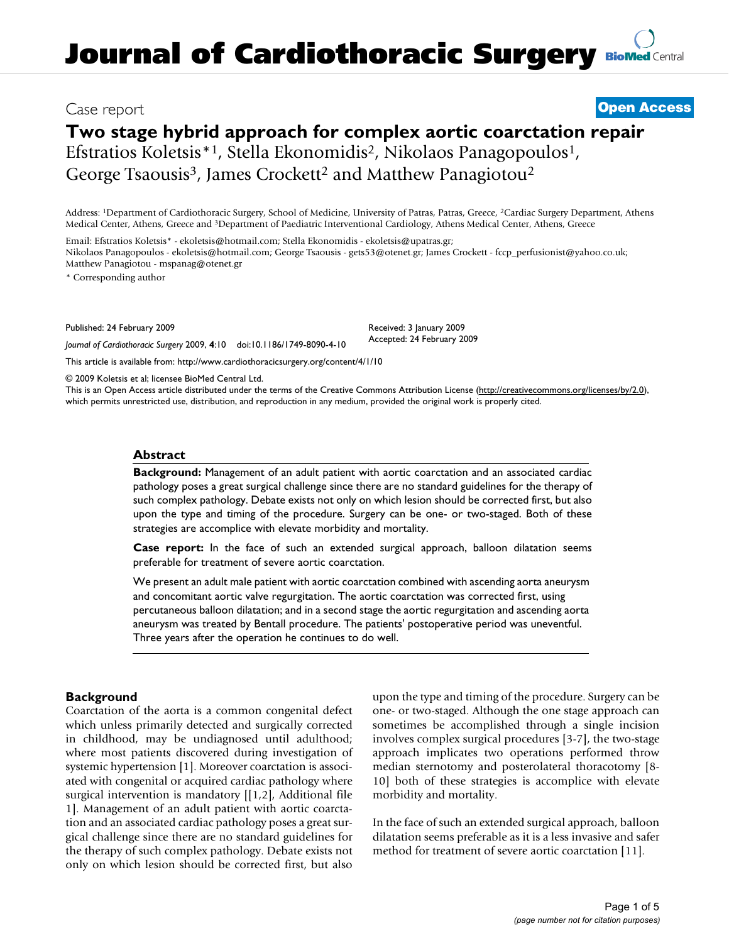## Case report **[Open Access](http://www.biomedcentral.com/info/about/charter/)**

# **Two stage hybrid approach for complex aortic coarctation repair**

Efstratios Koletsis<sup>\*1</sup>, Stella Ekonomidis<sup>2</sup>, Nikolaos Panagopoulos<sup>1</sup>, George Tsaousis<sup>3</sup>, James Crockett<sup>2</sup> and Matthew Panagiotou<sup>2</sup>

Address: 1Department of Cardiothoracic Surgery, School of Medicine, University of Patras, Patras, Greece, 2Cardiac Surgery Department, Athens Medical Center, Athens, Greece and 3Department of Paediatric Interventional Cardiology, Athens Medical Center, Athens, Greece

Email: Efstratios Koletsis\* - ekoletsis@hotmail.com; Stella Ekonomidis - ekoletsis@upatras.gr; Nikolaos Panagopoulos - ekoletsis@hotmail.com; George Tsaousis - gets53@otenet.gr; James Crockett - fccp\_perfusionist@yahoo.co.uk; Matthew Panagiotou - mspanag@otenet.gr

\* Corresponding author

Published: 24 February 2009

*Journal of Cardiothoracic Surgery* 2009, **4**:10 doi:10.1186/1749-8090-4-10 [This article is available from: http://www.cardiothoracicsurgery.org/content/4/1/10](http://www.cardiothoracicsurgery.org/content/4/1/10)

Received: 3 January 2009 Accepted: 24 February 2009

© 2009 Koletsis et al; licensee BioMed Central Ltd.

This is an Open Access article distributed under the terms of the Creative Commons Attribution License [\(http://creativecommons.org/licenses/by/2.0\)](http://creativecommons.org/licenses/by/2.0), which permits unrestricted use, distribution, and reproduction in any medium, provided the original work is properly cited.

#### **Abstract**

**Background:** Management of an adult patient with aortic coarctation and an associated cardiac pathology poses a great surgical challenge since there are no standard guidelines for the therapy of such complex pathology. Debate exists not only on which lesion should be corrected first, but also upon the type and timing of the procedure. Surgery can be one- or two-staged. Both of these strategies are accomplice with elevate morbidity and mortality.

**Case report:** In the face of such an extended surgical approach, balloon dilatation seems preferable for treatment of severe aortic coarctation.

We present an adult male patient with aortic coarctation combined with ascending aorta aneurysm and concomitant aortic valve regurgitation. The aortic coarctation was corrected first, using percutaneous balloon dilatation; and in a second stage the aortic regurgitation and ascending aorta aneurysm was treated by Bentall procedure. The patients' postoperative period was uneventful. Three years after the operation he continues to do well.

#### **Background**

Coarctation of the aorta is a common congenital defect which unless primarily detected and surgically corrected in childhood, may be undiagnosed until adulthood; where most patients discovered during investigation of systemic hypertension [1]. Moreover coarctation is associated with congenital or acquired cardiac pathology where surgical intervention is mandatory [[1,2], Additional file 1]. Management of an adult patient with aortic coarctation and an associated cardiac pathology poses a great surgical challenge since there are no standard guidelines for the therapy of such complex pathology. Debate exists not only on which lesion should be corrected first, but also upon the type and timing of the procedure. Surgery can be one- or two-staged. Although the one stage approach can sometimes be accomplished through a single incision involves complex surgical procedures [3-7], the two-stage approach implicates two operations performed throw median sternotomy and posterolateral thoracotomy [8- 10] both of these strategies is accomplice with elevate morbidity and mortality.

In the face of such an extended surgical approach, balloon dilatation seems preferable as it is a less invasive and safer method for treatment of severe aortic coarctation [11].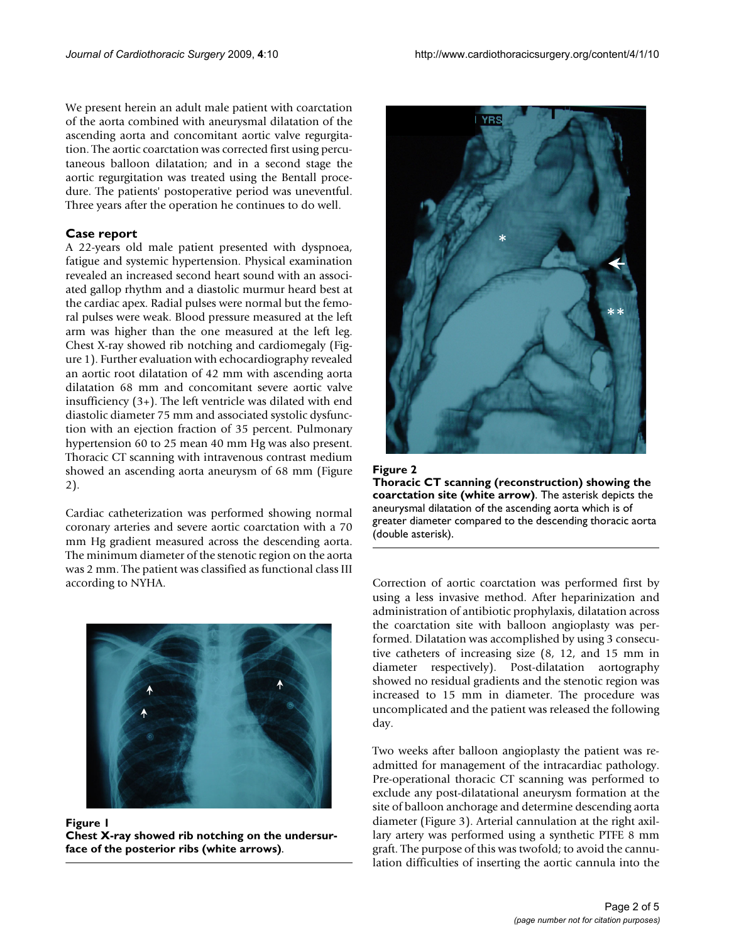We present herein an adult male patient with coarctation of the aorta combined with aneurysmal dilatation of the ascending aorta and concomitant aortic valve regurgitation. The aortic coarctation was corrected first using percutaneous balloon dilatation; and in a second stage the aortic regurgitation was treated using the Bentall procedure. The patients' postoperative period was uneventful. Three years after the operation he continues to do well.

#### **Case report**

A 22-years old male patient presented with dyspnoea, fatigue and systemic hypertension. Physical examination revealed an increased second heart sound with an associated gallop rhythm and a diastolic murmur heard best at the cardiac apex. Radial pulses were normal but the femoral pulses were weak. Blood pressure measured at the left arm was higher than the one measured at the left leg. Chest X-ray showed rib notching and cardiomegaly (Figure 1). Further evaluation with echocardiography revealed an aortic root dilatation of 42 mm with ascending aorta dilatation 68 mm and concomitant severe aortic valve insufficiency (3+). The left ventricle was dilated with end diastolic diameter 75 mm and associated systolic dysfunction with an ejection fraction of 35 percent. Pulmonary hypertension 60 to 25 mean 40 mm Hg was also present. Thoracic CT scanning with intravenous contrast medium showed an ascending aorta aneurysm of 68 mm (Figure 2).

Cardiac catheterization was performed showing normal coronary arteries and severe aortic coarctation with a 70 mm Hg gradient measured across the descending aorta. The minimum diameter of the stenotic region on the aorta was 2 mm. The patient was classified as functional class III according to NYHA. Correction of aortic coarctation was performed first by



Figure 1 **Chest X-ray showed rib notching on the undersurface of the posterior ribs (white arrows)**.





using a less invasive method. After heparinization and administration of antibiotic prophylaxis, dilatation across the coarctation site with balloon angioplasty was performed. Dilatation was accomplished by using 3 consecutive catheters of increasing size (8, 12, and 15 mm in diameter respectively). Post-dilatation aortography showed no residual gradients and the stenotic region was increased to 15 mm in diameter. The procedure was uncomplicated and the patient was released the following day.

Two weeks after balloon angioplasty the patient was readmitted for management of the intracardiac pathology. Pre-operational thoracic CT scanning was performed to exclude any post-dilatational aneurysm formation at the site of balloon anchorage and determine descending aorta diameter (Figure 3). Arterial cannulation at the right axillary artery was performed using a synthetic PTFE 8 mm graft. The purpose of this was twofold; to avoid the cannulation difficulties of inserting the aortic cannula into the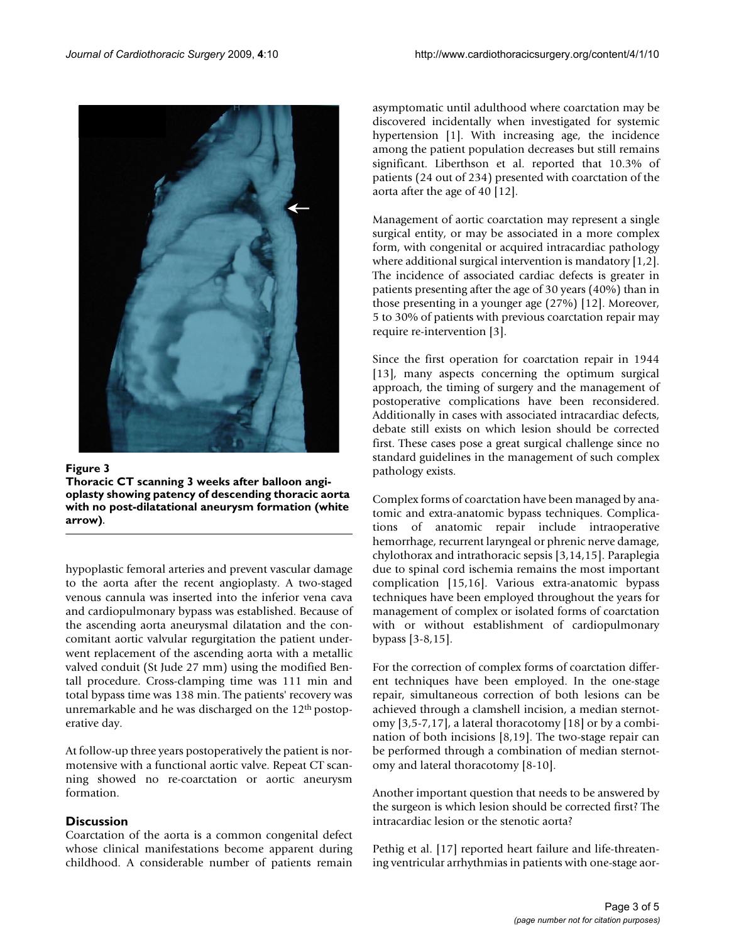

Figure 3 **Thoracic CT scanning 3 weeks after balloon angioplasty showing patency of descending thoracic aorta with no post-dilatational aneurysm formation (white arrow)**.

hypoplastic femoral arteries and prevent vascular damage to the aorta after the recent angioplasty. A two-staged venous cannula was inserted into the inferior vena cava and cardiopulmonary bypass was established. Because of the ascending aorta aneurysmal dilatation and the concomitant aortic valvular regurgitation the patient underwent replacement of the ascending aorta with a metallic valved conduit (St Jude 27 mm) using the modified Bentall procedure. Cross-clamping time was 111 min and total bypass time was 138 min. The patients' recovery was unremarkable and he was discharged on the 12<sup>th</sup> postoperative day.

At follow-up three years postoperatively the patient is normotensive with a functional aortic valve. Repeat CT scanning showed no re-coarctation or aortic aneurysm formation.

### **Discussion**

Coarctation of the aorta is a common congenital defect whose clinical manifestations become apparent during childhood. A considerable number of patients remain asymptomatic until adulthood where coarctation may be discovered incidentally when investigated for systemic hypertension [1]. With increasing age, the incidence among the patient population decreases but still remains significant. Liberthson et al. reported that 10.3% of patients (24 out of 234) presented with coarctation of the aorta after the age of 40 [12].

Management of aortic coarctation may represent a single surgical entity, or may be associated in a more complex form, with congenital or acquired intracardiac pathology where additional surgical intervention is mandatory [1,2]. The incidence of associated cardiac defects is greater in patients presenting after the age of 30 years (40%) than in those presenting in a younger age (27%) [12]. Moreover, 5 to 30% of patients with previous coarctation repair may require re-intervention [3].

Since the first operation for coarctation repair in 1944 [13], many aspects concerning the optimum surgical approach, the timing of surgery and the management of postoperative complications have been reconsidered. Additionally in cases with associated intracardiac defects, debate still exists on which lesion should be corrected first. These cases pose a great surgical challenge since no standard guidelines in the management of such complex pathology exists.

Complex forms of coarctation have been managed by anatomic and extra-anatomic bypass techniques. Complications of anatomic repair include intraoperative hemorrhage, recurrent laryngeal or phrenic nerve damage, chylothorax and intrathoracic sepsis [3,14,15]. Paraplegia due to spinal cord ischemia remains the most important complication [15,16]. Various extra-anatomic bypass techniques have been employed throughout the years for management of complex or isolated forms of coarctation with or without establishment of cardiopulmonary bypass [3-8,15].

For the correction of complex forms of coarctation different techniques have been employed. In the one-stage repair, simultaneous correction of both lesions can be achieved through a clamshell incision, a median sternotomy [3,5-7,17], a lateral thoracotomy [18] or by a combination of both incisions [8,19]. The two-stage repair can be performed through a combination of median sternotomy and lateral thoracotomy [8-10].

Another important question that needs to be answered by the surgeon is which lesion should be corrected first? The intracardiac lesion or the stenotic aorta?

Pethig et al. [17] reported heart failure and life-threatening ventricular arrhythmias in patients with one-stage aor-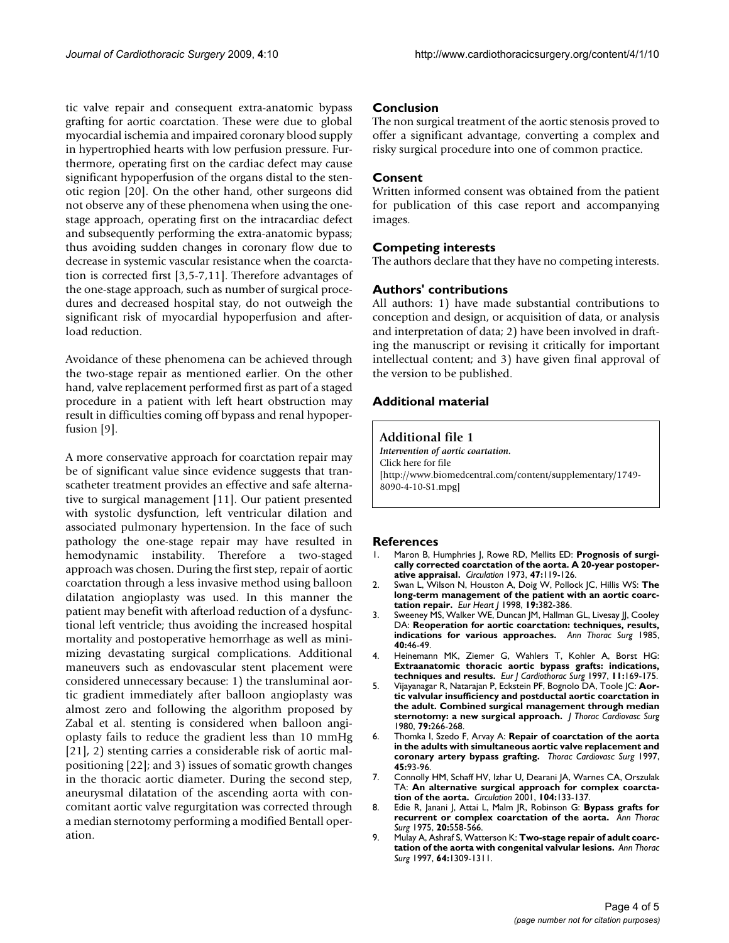tic valve repair and consequent extra-anatomic bypass grafting for aortic coarctation. These were due to global myocardial ischemia and impaired coronary blood supply in hypertrophied hearts with low perfusion pressure. Furthermore, operating first on the cardiac defect may cause significant hypoperfusion of the organs distal to the stenotic region [20]. On the other hand, other surgeons did not observe any of these phenomena when using the onestage approach, operating first on the intracardiac defect and subsequently performing the extra-anatomic bypass; thus avoiding sudden changes in coronary flow due to decrease in systemic vascular resistance when the coarctation is corrected first [3,5-7,11]. Therefore advantages of the one-stage approach, such as number of surgical procedures and decreased hospital stay, do not outweigh the significant risk of myocardial hypoperfusion and afterload reduction.

Avoidance of these phenomena can be achieved through the two-stage repair as mentioned earlier. On the other hand, valve replacement performed first as part of a staged procedure in a patient with left heart obstruction may result in difficulties coming off bypass and renal hypoperfusion [9].

A more conservative approach for coarctation repair may be of significant value since evidence suggests that transcatheter treatment provides an effective and safe alternative to surgical management [11]. Our patient presented with systolic dysfunction, left ventricular dilation and associated pulmonary hypertension. In the face of such pathology the one-stage repair may have resulted in hemodynamic instability. Therefore a two-staged approach was chosen. During the first step, repair of aortic coarctation through a less invasive method using balloon dilatation angioplasty was used. In this manner the patient may benefit with afterload reduction of a dysfunctional left ventricle; thus avoiding the increased hospital mortality and postoperative hemorrhage as well as minimizing devastating surgical complications. Additional maneuvers such as endovascular stent placement were considered unnecessary because: 1) the transluminal aortic gradient immediately after balloon angioplasty was almost zero and following the algorithm proposed by Zabal et al. stenting is considered when balloon angioplasty fails to reduce the gradient less than 10 mmHg [21], 2) stenting carries a considerable risk of aortic malpositioning [22]; and 3) issues of somatic growth changes in the thoracic aortic diameter. During the second step, aneurysmal dilatation of the ascending aorta with concomitant aortic valve regurgitation was corrected through a median sternotomy performing a modified Bentall operation.

#### **Conclusion**

The non surgical treatment of the aortic stenosis proved to offer a significant advantage, converting a complex and risky surgical procedure into one of common practice.

#### **Consent**

Written informed consent was obtained from the patient for publication of this case report and accompanying images.

#### **Competing interests**

The authors declare that they have no competing interests.

#### **Authors' contributions**

All authors: 1) have made substantial contributions to conception and design, or acquisition of data, or analysis and interpretation of data; 2) have been involved in drafting the manuscript or revising it critically for important intellectual content; and 3) have given final approval of the version to be published.

#### **Additional material**

#### **Additional file 1**

*Intervention of aortic coartation.* Click here for file [\[http://www.biomedcentral.com/content/supplementary/1749-](http://www.biomedcentral.com/content/supplementary/1749-8090-4-10-S1.mpg) 8090-4-10-S1.mpg]

#### **References**

- 1. Maron B, Humphries J, Rowe RD, Mellits ED: **[Prognosis of surgi](http://www.ncbi.nlm.nih.gov/entrez/query.fcgi?cmd=Retrieve&db=PubMed&dopt=Abstract&list_uids=4686589)[cally corrected coarctation of the aorta. A 20-year postoper](http://www.ncbi.nlm.nih.gov/entrez/query.fcgi?cmd=Retrieve&db=PubMed&dopt=Abstract&list_uids=4686589)[ative appraisal.](http://www.ncbi.nlm.nih.gov/entrez/query.fcgi?cmd=Retrieve&db=PubMed&dopt=Abstract&list_uids=4686589)** *Circulation* 1973, **47:**119-126.
- 2. Swan L, Wilson N, Houston A, Doig W, Pollock JC, Hillis WS: **[The](http://www.ncbi.nlm.nih.gov/entrez/query.fcgi?cmd=Retrieve&db=PubMed&dopt=Abstract&list_uids=9568441) [long-term management of the patient with an aortic coarc](http://www.ncbi.nlm.nih.gov/entrez/query.fcgi?cmd=Retrieve&db=PubMed&dopt=Abstract&list_uids=9568441)[tation repair.](http://www.ncbi.nlm.nih.gov/entrez/query.fcgi?cmd=Retrieve&db=PubMed&dopt=Abstract&list_uids=9568441)** *Eur Heart J* 1998, **19:**382-386.
- 3. Sweeney MS, Walker WE, Duncan JM, Hallman GL, Livesay JJ, Cooley DA: **[Reoperation for aortic coarctation: techniques, results,](http://www.ncbi.nlm.nih.gov/entrez/query.fcgi?cmd=Retrieve&db=PubMed&dopt=Abstract&list_uids=4015243) [indications for various approaches.](http://www.ncbi.nlm.nih.gov/entrez/query.fcgi?cmd=Retrieve&db=PubMed&dopt=Abstract&list_uids=4015243)** *Ann Thorac Surg* 1985, **40:**46-49.
- 4. Heinemann MK, Ziemer G, Wahlers T, Kohler A, Borst HG: **[Extraanatomic thoracic aortic bypass grafts: indications,](http://www.ncbi.nlm.nih.gov/entrez/query.fcgi?cmd=Retrieve&db=PubMed&dopt=Abstract&list_uids=9030807) [techniques and results.](http://www.ncbi.nlm.nih.gov/entrez/query.fcgi?cmd=Retrieve&db=PubMed&dopt=Abstract&list_uids=9030807)** *Eur J Cardiothorac Surg* 1997, **11:**169-175.
- 5. Vijayanagar R, Natarajan P, Eckstein PF, Bognolo DA, Toole JC: **[Aor](http://www.ncbi.nlm.nih.gov/entrez/query.fcgi?cmd=Retrieve&db=PubMed&dopt=Abstract&list_uids=7351850)[tic valvular insufficiency and postductal aortic coarctation in](http://www.ncbi.nlm.nih.gov/entrez/query.fcgi?cmd=Retrieve&db=PubMed&dopt=Abstract&list_uids=7351850) the adult. Combined surgical management through median [sternotomy: a new surgical approach.](http://www.ncbi.nlm.nih.gov/entrez/query.fcgi?cmd=Retrieve&db=PubMed&dopt=Abstract&list_uids=7351850)** *J Thorac Cardiovasc Surg* 1980, **79:**266-268.
- 6. Thomka I, Szedo F, Arvay A: **[Repair of coarctation of the aorta](http://www.ncbi.nlm.nih.gov/entrez/query.fcgi?cmd=Retrieve&db=PubMed&dopt=Abstract&list_uids=9175228) [in the adults with simultaneous aortic valve replacement and](http://www.ncbi.nlm.nih.gov/entrez/query.fcgi?cmd=Retrieve&db=PubMed&dopt=Abstract&list_uids=9175228) [coronary artery bypass grafting.](http://www.ncbi.nlm.nih.gov/entrez/query.fcgi?cmd=Retrieve&db=PubMed&dopt=Abstract&list_uids=9175228)** *Thorac Cardiovasc Surg* 1997, **45:**93-96.
- 7. Connolly HM, Schaff HV, Izhar U, Dearani JA, Warnes CA, Orszulak TA: **[An alternative surgical approach for complex coarcta](http://www.ncbi.nlm.nih.gov/entrez/query.fcgi?cmd=Retrieve&db=PubMed&dopt=Abstract&list_uids=11568044 )[tion of the aorta.](http://www.ncbi.nlm.nih.gov/entrez/query.fcgi?cmd=Retrieve&db=PubMed&dopt=Abstract&list_uids=11568044 )** *Circulation* 2001, **104:**133-137.
- 8. Edie R, Janani J, Attai L, Malm JR, Robinson G: **[Bypass grafts for](http://www.ncbi.nlm.nih.gov/entrez/query.fcgi?cmd=Retrieve&db=PubMed&dopt=Abstract&list_uids=127557) [recurrent or complex coarctation of the aorta.](http://www.ncbi.nlm.nih.gov/entrez/query.fcgi?cmd=Retrieve&db=PubMed&dopt=Abstract&list_uids=127557)** *Ann Thorac Surg* 1975, **20:**558-566.
- 9. Mulay A, Ashraf S, Watterson K: **[Two-stage repair of adult coarc](http://www.ncbi.nlm.nih.gov/entrez/query.fcgi?cmd=Retrieve&db=PubMed&dopt=Abstract&list_uids=9386695)[tation of the aorta with congenital valvular lesions.](http://www.ncbi.nlm.nih.gov/entrez/query.fcgi?cmd=Retrieve&db=PubMed&dopt=Abstract&list_uids=9386695)** *Ann Thorac Surg* 1997, **64:**1309-1311.